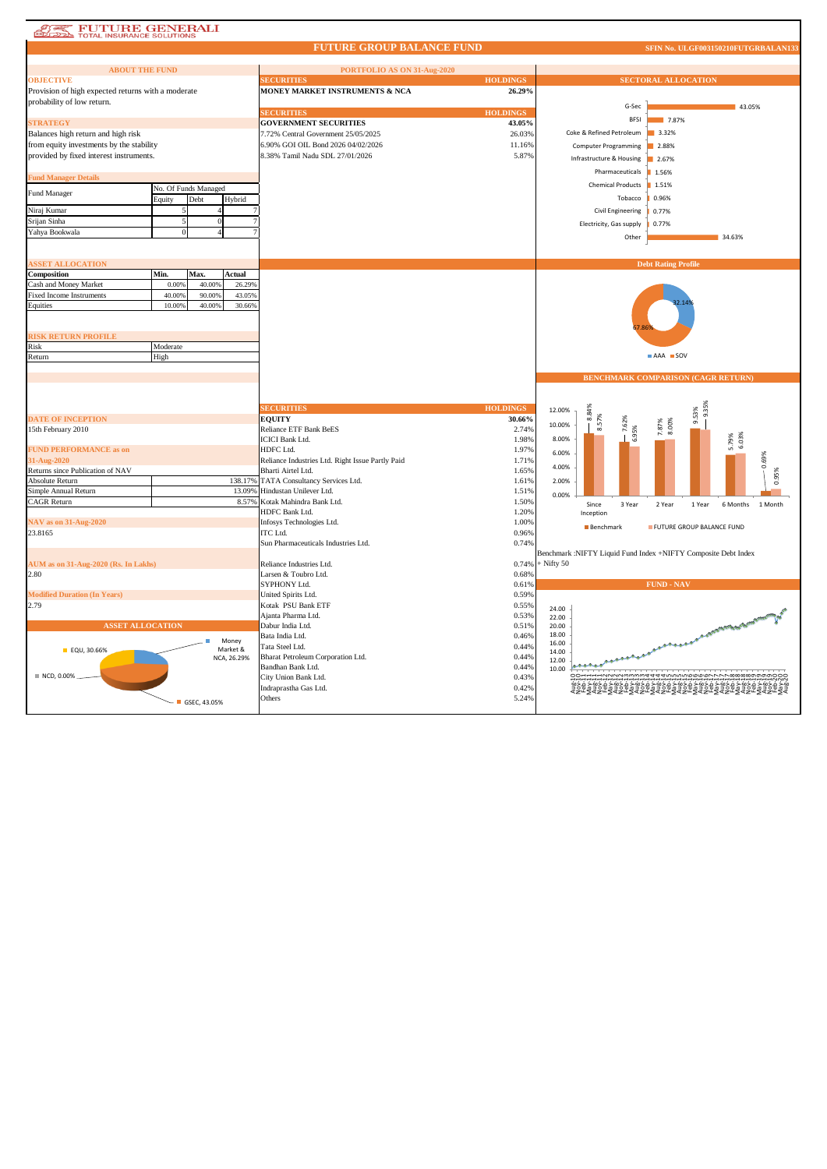| <b>FUTURE GENERALI</b><br><b>TOTAL INSURANCE SOLUTIONS</b> |                      |        |             |                                                  |                 |                |                             |                                                                        |  |
|------------------------------------------------------------|----------------------|--------|-------------|--------------------------------------------------|-----------------|----------------|-----------------------------|------------------------------------------------------------------------|--|
|                                                            |                      |        |             | <b>FUTURE GROUP BALANCE FUND</b>                 |                 |                |                             | SFIN No. ULGF003150210FUTGRBALAN133                                    |  |
| <b>ABOUT THE FUND</b>                                      |                      |        |             | PORTFOLIO AS ON 31-Aug-2020                      |                 |                |                             |                                                                        |  |
| <b>OBJECTIVE</b>                                           |                      |        |             | <b>ECURITIES</b>                                 | <b>HOLDINGS</b> |                |                             | <b>SECTORAL ALLOCATION</b>                                             |  |
| Provision of high expected returns with a moderate         |                      |        |             | MONEY MARKET INSTRUMENTS & NCA                   | 26.29%          |                |                             |                                                                        |  |
| probability of low return.                                 |                      |        |             |                                                  |                 |                |                             |                                                                        |  |
|                                                            |                      |        |             | <b>SECURITIES</b>                                | <b>HOLDINGS</b> |                | G-Sec                       | 43.05%                                                                 |  |
| <b>STRATEGY</b>                                            |                      |        |             | <b>GOVERNMENT SECURITIES</b>                     | 43.05%          |                | <b>BFSI</b>                 | 7.87%                                                                  |  |
| Balances high return and high risk                         |                      |        |             | 7.72% Central Government 25/05/2025              | 26.03%          |                | Coke & Refined Petroleum    | 3.32%                                                                  |  |
| from equity investments by the stability                   |                      |        |             | 6.90% GOI OIL Bond 2026 04/02/2026               | 11.16%          |                |                             |                                                                        |  |
|                                                            |                      |        |             | 8.38% Tamil Nadu SDL 27/01/2026                  |                 |                | <b>Computer Programming</b> | 2.88%                                                                  |  |
| provided by fixed interest instruments.                    |                      |        |             |                                                  | 5.87%           |                | Infrastructure & Housing    | 2.67%                                                                  |  |
| <b>Fund Manager Details</b>                                |                      |        |             |                                                  |                 |                | Pharmaceuticals             | 1.56%                                                                  |  |
|                                                            | No. Of Funds Managed |        |             |                                                  |                 |                | <b>Chemical Products</b>    | 1.51%                                                                  |  |
| Fund Manager                                               | Debt<br>Equity       |        | Hybrid      |                                                  |                 |                | Tobacco                     | 0.96%                                                                  |  |
| Niraj Kumar                                                |                      |        |             |                                                  |                 |                |                             |                                                                        |  |
|                                                            |                      |        |             |                                                  |                 |                | Civil Engineering           | 0.77%                                                                  |  |
| Srijan Sinha                                               |                      |        |             |                                                  |                 |                | Electricity, Gas supply     | 0.77%                                                                  |  |
| Yahya Bookwala                                             |                      |        |             |                                                  |                 |                | Other                       | 34.63%                                                                 |  |
|                                                            |                      |        |             |                                                  |                 |                |                             |                                                                        |  |
| <b>ASSET ALLOCATION</b>                                    |                      |        |             |                                                  |                 |                |                             | <b>Debt Rating Profile</b>                                             |  |
| Composition                                                | Min.<br>Max.         |        | Actual      |                                                  |                 |                |                             |                                                                        |  |
| Cash and Money Market                                      | 0.009                | 40.00% | 26.29%      |                                                  |                 |                |                             |                                                                        |  |
|                                                            | 40.009               | 90.00% | 43.05%      |                                                  |                 |                |                             |                                                                        |  |
| <b>Fixed Income Instruments</b>                            | 10.009               | 40,00% | 30.66%      |                                                  |                 |                |                             |                                                                        |  |
| Equities                                                   |                      |        |             |                                                  |                 |                |                             |                                                                        |  |
|                                                            |                      |        |             |                                                  |                 |                |                             |                                                                        |  |
|                                                            |                      |        |             |                                                  |                 |                |                             |                                                                        |  |
| <b>RISK RETURN PROFILE</b>                                 |                      |        |             |                                                  |                 |                |                             |                                                                        |  |
| Risk                                                       | Moderate<br>High     |        |             |                                                  |                 |                |                             | AAA SOV                                                                |  |
| Return                                                     |                      |        |             |                                                  |                 |                |                             |                                                                        |  |
|                                                            |                      |        |             |                                                  |                 |                |                             |                                                                        |  |
|                                                            |                      |        |             |                                                  |                 |                |                             |                                                                        |  |
|                                                            |                      |        |             |                                                  |                 |                |                             | <b>BENCHMARK COMPARISON (CAGR RETURN)</b>                              |  |
|                                                            |                      |        |             |                                                  |                 |                |                             |                                                                        |  |
|                                                            |                      |        |             |                                                  |                 |                |                             |                                                                        |  |
|                                                            |                      |        |             | <b>ECURITIES</b>                                 | <b>HOLDINGS</b> | 12.00%         |                             | 9.35%                                                                  |  |
| <b>DATE OF INCEPTION</b>                                   |                      |        |             | <b>EQUITY</b>                                    | 30.66%          | 10.00%         | 8.84%                       | 9.53%                                                                  |  |
| 15th February 2010                                         |                      |        |             | Reliance ETF Bank BeES                           | 2.74%           |                | 8.57%<br>7.62%              | 8.00%<br>7.87%                                                         |  |
|                                                            |                      |        |             | <b>ICICI Bank Ltd.</b>                           | 1.98%           | 8.00%          | 6.95%                       |                                                                        |  |
| <b>FUND PERFORMANCE as on</b>                              |                      |        |             | HDFC Ltd.                                        | 1.97%           | 6.00%          |                             | 5.79%<br>6.03%                                                         |  |
| 31-Aug-2020                                                |                      |        |             | Reliance Industries Ltd. Right Issue Partly Paid | 1.71%           | 4.00%          |                             | 0.69%                                                                  |  |
| Returns since Publication of NAV                           |                      |        |             | Bharti Airtel Ltd.                               | 1.65%           |                |                             |                                                                        |  |
| Absolute Return                                            |                      |        | 138.17%     | TATA Consultancy Services Ltd.                   | 1.61%           | 2.00%          |                             | 0.95%                                                                  |  |
| Simple Annual Return                                       |                      |        | 13.09%      | Hindustan Unilever Ltd.                          | 1.51%           | 0.00%          |                             |                                                                        |  |
| <b>CAGR Return</b>                                         |                      |        | 8.57%       | Kotak Mahindra Bank Ltd.                         | 1.50%           |                | Since<br>3 Year             | 2 Year<br>6 Months<br>1 Month<br>1 Year                                |  |
|                                                            |                      |        |             | HDFC Bank Ltd.                                   | 1.20%           |                | Inception                   |                                                                        |  |
| <b>NAV</b> as on 31-Aug-2020                               |                      |        |             | Infosys Technologies Ltd.                        | 1.00%           |                | Benchmark                   | FUTURE GROUP BALANCE FUND                                              |  |
| 23.8165                                                    |                      |        |             | ITC Ltd.                                         | 0.96%           |                |                             |                                                                        |  |
|                                                            |                      |        |             | Sun Pharmaceuticals Industries Ltd.              | 0.74%           |                |                             |                                                                        |  |
|                                                            |                      |        |             |                                                  |                 |                |                             | Benchmark :NIFTY Liquid Fund Index +NIFTY Composite Debt Index         |  |
| AUM as on 31-Aug-2020 (Rs. In Lakhs)                       |                      |        |             | Reliance Industries Ltd.                         | 0.74%           | $+$ Nifty 50   |                             |                                                                        |  |
| 2.80                                                       |                      |        |             | Larsen & Toubro Ltd.                             | 0.68%           |                |                             |                                                                        |  |
|                                                            |                      |        |             | SYPHONY Ltd.                                     | 0.61%           |                |                             | <b>FUND - NAV</b>                                                      |  |
| <b>Modified Duration (In Years)</b>                        |                      |        |             | United Spirits Ltd.                              | 0.59%           |                |                             |                                                                        |  |
| 2.79                                                       |                      |        |             | Kotak PSU Bank ETF                               | 0.55%           | 24.00          |                             |                                                                        |  |
|                                                            |                      |        |             | Ajanta Pharma Ltd.                               | 0.53%           | 22.00          |                             |                                                                        |  |
| <b>ASSET ALLOCATION</b>                                    |                      |        |             | Dabur India Ltd.                                 | 0.51%           | 20.00          |                             |                                                                        |  |
|                                                            |                      |        | Money       | Bata India Ltd.                                  | 0.46%           | 18.00          |                             | A CONSTRUCTION OF BOILER STATES                                        |  |
| <b>EQU, 30.66%</b>                                         |                      |        | Market &    | Tata Steel Ltd.                                  | 0.44%           | 16.00<br>14.00 |                             |                                                                        |  |
|                                                            |                      |        | NCA, 26.29% | Bharat Petroleum Corporation Ltd.                | 0.44%           | 12.00          |                             |                                                                        |  |
|                                                            |                      |        |             | Bandhan Bank Ltd.                                | 0.44%           | 10.00          |                             |                                                                        |  |
| ■ NCD, 0.00%                                               |                      |        |             | City Union Bank Ltd.                             | 0.43%           |                |                             | dddivininadaarrrraaaaaaa                                               |  |
|                                                            |                      |        |             | Indraprastha Gas Ltd.<br>Others                  | 0.42%<br>5.24%  |                |                             | ⋖⋝⋷⋝⋖⋝⋷⋝⋖⋝∊⋝⋖⋝⋷⋝⋖⋜⋷⋝⋖⋝∊⋝⋖⋜⋷⋜⋖⋝⋷⋝⋖⋦⋷<br>⋪⋝⋪⋡⋣⋧⋬⋡⋣⋧⋪⋡⋣⋧⋪⋡⋥⋧⋬⋡⋣⋧⋪⋡⋣⋧⋬⋡⋥⋧⋬ |  |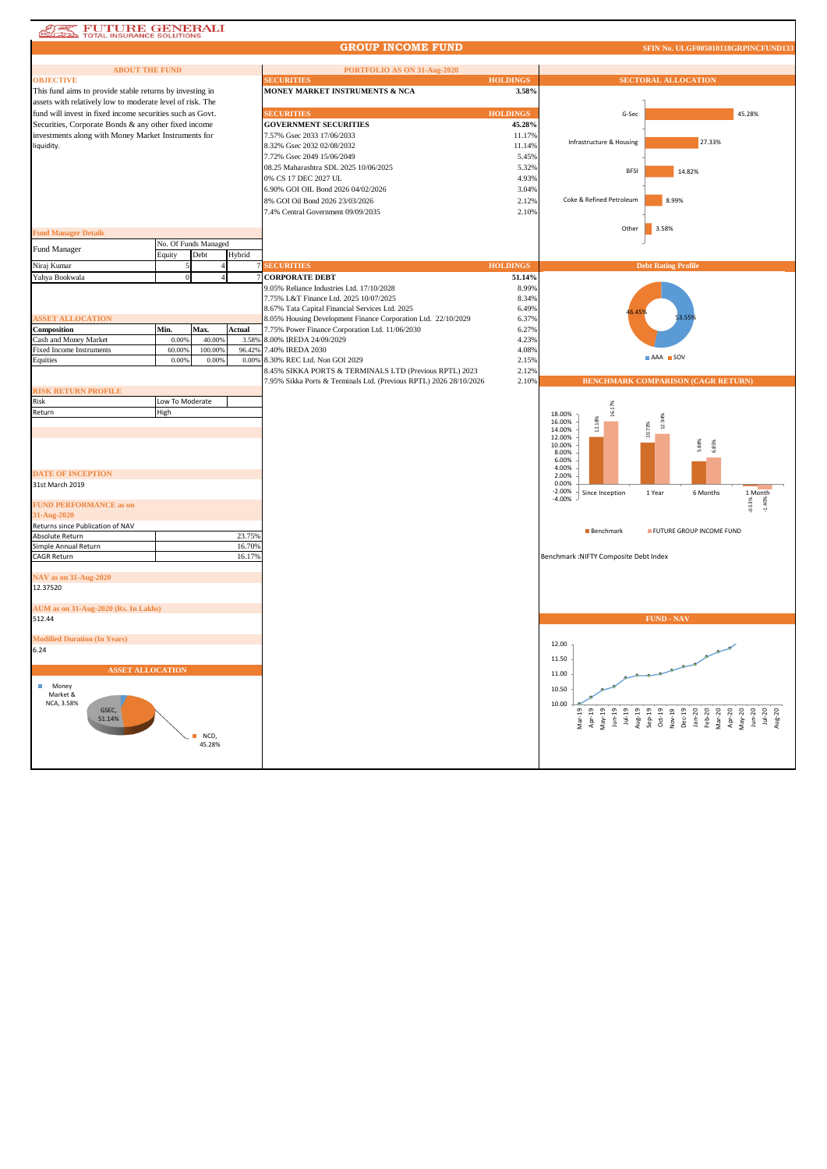## **ATE FUTURE GENERALI**

## **GROUP INCOME FUND**

**SFIN No. ULGF005010118GRPINCFU** 

| <b>ABOUT THE FUND</b><br><b>OBJECTIVE</b>                                                                         |                 |                      |        | PORTFOLIO AS ON 31-Aug-2020<br><b>ECURITIES</b>                    | <b>HOLDINGS</b> | <b>SECTORAL ALLOCATION</b>                                   |
|-------------------------------------------------------------------------------------------------------------------|-----------------|----------------------|--------|--------------------------------------------------------------------|-----------------|--------------------------------------------------------------|
| This fund aims to provide stable returns by investing in                                                          |                 |                      |        | MONEY MARKET INSTRUMENTS & NCA                                     | 3.58%           |                                                              |
| assets with relatively low to moderate level of risk. The                                                         |                 |                      |        |                                                                    |                 |                                                              |
|                                                                                                                   |                 |                      |        | <b>SECURITIES</b>                                                  | <b>HOLDINGS</b> |                                                              |
| fund will invest in fixed income securities such as Govt.<br>Securities, Corporate Bonds & any other fixed income |                 |                      |        | <b>GOVERNMENT SECURITIES</b>                                       | 45.28%          | G-Sec<br>45.28%                                              |
| investments along with Money Market Instruments for                                                               |                 |                      |        | 7.57% Gsec 2033 17/06/2033                                         | 11.17%          |                                                              |
|                                                                                                                   |                 |                      |        | 8.32% Gsec 2032 02/08/2032                                         | 11.14%          | 27.33%<br>Infrastructure & Housing                           |
| liquidity.                                                                                                        |                 |                      |        |                                                                    |                 |                                                              |
|                                                                                                                   |                 |                      |        | 7.72% Gsec 2049 15/06/2049                                         | 5.45%           |                                                              |
|                                                                                                                   |                 |                      |        | 08.25 Maharashtra SDL 2025 10/06/2025                              | 5.32%           | <b>BFSI</b><br>14.82%                                        |
|                                                                                                                   |                 |                      |        | 0% CS 17 DEC 2027 UL                                               | 4.93%           |                                                              |
|                                                                                                                   |                 |                      |        | 6.90% GOI OIL Bond 2026 04/02/2026                                 | 3.04%           |                                                              |
|                                                                                                                   |                 |                      |        | 8% GOI Oil Bond 2026 23/03/2026                                    | 2.12%           | 8.99%<br>Coke & Refined Petroleum                            |
|                                                                                                                   |                 |                      |        | 7.4% Central Government 09/09/2035                                 | 2.10%           |                                                              |
|                                                                                                                   |                 |                      |        |                                                                    |                 | Other<br>3.58%                                               |
| <b>Fund Manager Details</b>                                                                                       |                 |                      |        |                                                                    |                 |                                                              |
| Fund Manager                                                                                                      |                 | No. Of Funds Managed |        |                                                                    |                 |                                                              |
|                                                                                                                   | Equity          | Debt                 | Hybrid |                                                                    |                 |                                                              |
| Niraj Kumar                                                                                                       |                 |                      |        | <b>SECURITIES</b>                                                  | <b>HOLDINGS</b> | <b>Debt Rating Profile</b>                                   |
| Yahya Bookwala                                                                                                    |                 |                      |        | <b>CORPORATE DEBT</b>                                              | 51.14%          |                                                              |
|                                                                                                                   |                 |                      |        | 9.05% Reliance Industries Ltd. 17/10/2028                          | 8.99%           |                                                              |
|                                                                                                                   |                 |                      |        | 7.75% L&T Finance Ltd. 2025 10/07/2025                             | 8.34%           |                                                              |
|                                                                                                                   |                 |                      |        | 8.67% Tata Capital Financial Services Ltd. 2025                    | 6.49%           |                                                              |
| <b>ASSET ALLOCATION</b>                                                                                           |                 |                      |        | 8.05% Housing Development Finance Corporation Ltd. 22/10/2029      | 6.37%           |                                                              |
| Composition                                                                                                       | Min.            | Max.                 | Actual | 7.75% Power Finance Corporation Ltd. 11/06/2030                    | 6.27%           |                                                              |
| Cash and Money Market                                                                                             | 0.00%           | 40.00%               | 3.58%  | 8.00% IREDA 24/09/2029                                             | 4.23%           |                                                              |
| <b>Fixed Income Instruments</b>                                                                                   | 60.00%          | 100.00%              | 96.42% | 7.40% IREDA 2030                                                   | 4.08%           | AAA SOV                                                      |
| Equities                                                                                                          | 0.00%           | 0.00%                | 0.00%  | 8.30% REC Ltd. Non GOI 2029                                        | 2.15%           |                                                              |
|                                                                                                                   |                 |                      |        | 8.45% SIKKA PORTS & TERMINALS LTD (Previous RPTL) 2023             | 2.12%           | <b>BENCHMARK COMPARISON (CAGR RETURN)</b>                    |
| <b>RISK RETURN PROFILE</b>                                                                                        |                 |                      |        | 7.95% Sikka Ports & Terminals Ltd. (Previous RPTL) 2026 28/10/2026 | 2.10%           |                                                              |
|                                                                                                                   |                 |                      |        |                                                                    |                 |                                                              |
| Risk                                                                                                              | Low To Moderate |                      |        |                                                                    |                 | 16.17%                                                       |
| Return                                                                                                            | High            |                      |        |                                                                    |                 | 18.00%<br>16.00%                                             |
|                                                                                                                   |                 |                      |        |                                                                    |                 | 12.18%<br>12.94<br>10.73%<br>14.00%                          |
|                                                                                                                   |                 |                      |        |                                                                    |                 | 12.00%                                                       |
|                                                                                                                   |                 |                      |        |                                                                    |                 | \$88%<br>6.85%<br>10.00%<br>8.00%                            |
|                                                                                                                   |                 |                      |        |                                                                    |                 | 6.00%                                                        |
| <b>DATE OF INCEPTION</b>                                                                                          |                 |                      |        |                                                                    |                 | 4.00%                                                        |
| 31st March 2019                                                                                                   |                 |                      |        |                                                                    |                 | 2.00%<br>0.00%                                               |
|                                                                                                                   |                 |                      |        |                                                                    |                 | $-2.00%$<br>Since Inception<br>1 Year<br>6 Months<br>1 Month |
| <b>FUND PERFORMANCE as on</b>                                                                                     |                 |                      |        |                                                                    |                 | $-4.00%$<br>$-0.53%$<br>1.40%                                |
| 31-Aug-2020                                                                                                       |                 |                      |        |                                                                    |                 |                                                              |
| Returns since Publication of NAV                                                                                  |                 |                      |        |                                                                    |                 |                                                              |
| Absolute Return                                                                                                   |                 |                      | 23.75% |                                                                    |                 | <b>Benchmark</b><br>FUTURE GROUP INCOME FUND                 |
| Simple Annual Return                                                                                              |                 |                      | 16.70% |                                                                    |                 |                                                              |
| <b>CAGR Return</b>                                                                                                |                 |                      | 16.17% |                                                                    |                 | Benchmark : NIFTY Composite Debt Index                       |
|                                                                                                                   |                 |                      |        |                                                                    |                 |                                                              |
| <b>NAV</b> as on 31-Aug-2020                                                                                      |                 |                      |        |                                                                    |                 |                                                              |
| 12.37520                                                                                                          |                 |                      |        |                                                                    |                 |                                                              |
|                                                                                                                   |                 |                      |        |                                                                    |                 |                                                              |
| AUM as on 31-Aug-2020 (Rs. In Lakhs)                                                                              |                 |                      |        |                                                                    |                 |                                                              |
| 512.44                                                                                                            |                 |                      |        |                                                                    |                 | <b>FUND - NAV</b>                                            |
|                                                                                                                   |                 |                      |        |                                                                    |                 |                                                              |
| <b>Modified Duration (In Years)</b>                                                                               |                 |                      |        |                                                                    |                 | 12.00                                                        |
| 6.24                                                                                                              |                 |                      |        |                                                                    |                 |                                                              |
|                                                                                                                   |                 |                      |        |                                                                    |                 | 11.50                                                        |
| <b>ASSET ALLOCATION</b>                                                                                           |                 |                      |        |                                                                    |                 | 11.00                                                        |
| ш<br>Money                                                                                                        |                 |                      |        |                                                                    |                 |                                                              |
| Market &                                                                                                          |                 |                      |        |                                                                    |                 | 10.50                                                        |
| NCA, 3.58%                                                                                                        |                 |                      |        |                                                                    |                 | 10.00                                                        |
| GSEC.<br>51.14%                                                                                                   |                 |                      |        |                                                                    |                 | $Mar-19$                                                     |
|                                                                                                                   |                 |                      |        |                                                                    |                 |                                                              |
|                                                                                                                   |                 | NCD,                 |        |                                                                    |                 |                                                              |
|                                                                                                                   |                 | 45.28%               |        |                                                                    |                 |                                                              |
|                                                                                                                   |                 |                      |        |                                                                    |                 |                                                              |
|                                                                                                                   |                 |                      |        |                                                                    |                 |                                                              |